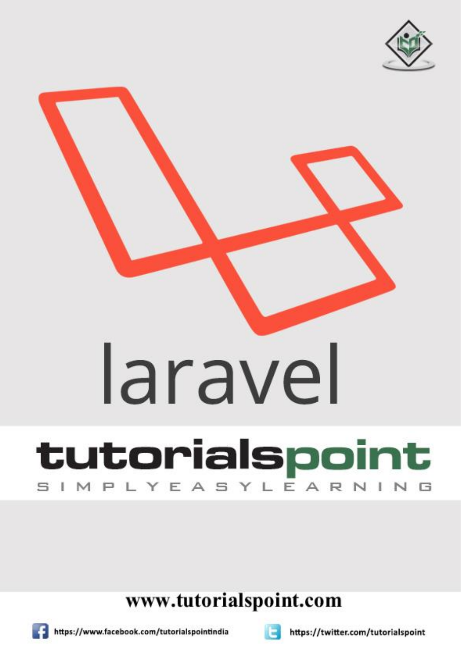



## www.tutorialspoint.com







https://twitter.com/tutorialspoint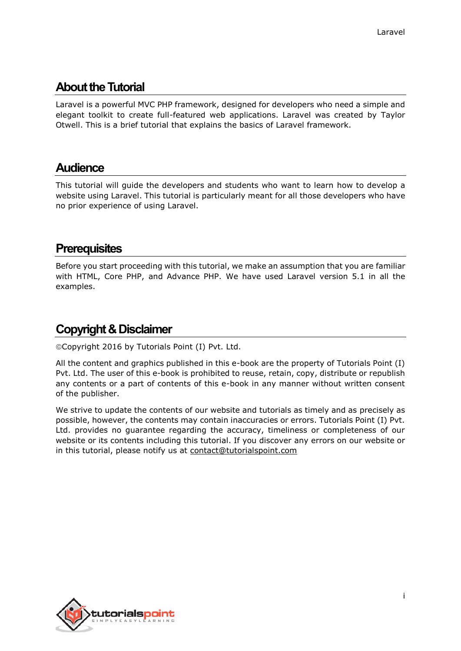## **About the Tutorial**

Laravel is a powerful MVC PHP framework, designed for developers who need a simple and elegant toolkit to create full-featured web applications. Laravel was created by Taylor Otwell. This is a brief tutorial that explains the basics of Laravel framework.

### **Audience**

This tutorial will guide the developers and students who want to learn how to develop a website using Laravel. This tutorial is particularly meant for all those developers who have no prior experience of using Laravel.

### **Prerequisites**

Before you start proceeding with this tutorial, we make an assumption that you are familiar with HTML, Core PHP, and Advance PHP. We have used Laravel version 5.1 in all the examples.

## **Copyright & Disclaimer**

Copyright 2016 by Tutorials Point (I) Pvt. Ltd.

All the content and graphics published in this e-book are the property of Tutorials Point (I) Pvt. Ltd. The user of this e-book is prohibited to reuse, retain, copy, distribute or republish any contents or a part of contents of this e-book in any manner without written consent of the publisher.

We strive to update the contents of our website and tutorials as timely and as precisely as possible, however, the contents may contain inaccuracies or errors. Tutorials Point (I) Pvt. Ltd. provides no guarantee regarding the accuracy, timeliness or completeness of our website or its contents including this tutorial. If you discover any errors on our website or in this tutorial, please notify us at [contact@tutorialspoint.com](mailto:contact@tutorialspoint.com)

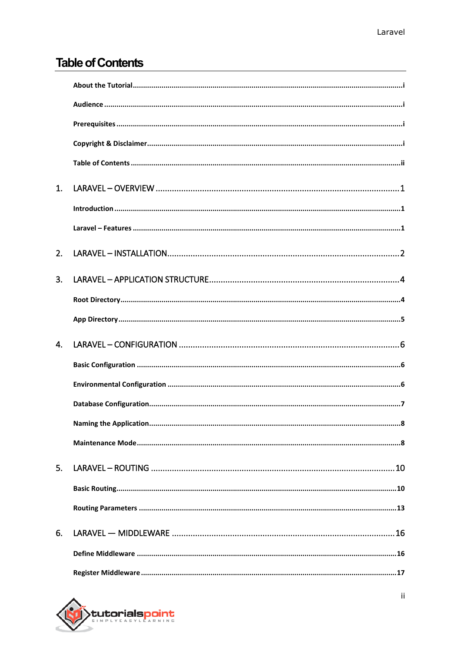## **Table of Contents**

| 1.          |   |
|-------------|---|
|             |   |
|             |   |
| 2.          |   |
| 3.          |   |
|             |   |
|             |   |
| $\mathbf 4$ |   |
|             |   |
|             |   |
|             |   |
|             | 8 |
|             |   |
| 5.          |   |
|             |   |
|             |   |
| 6.          |   |
|             |   |
|             |   |

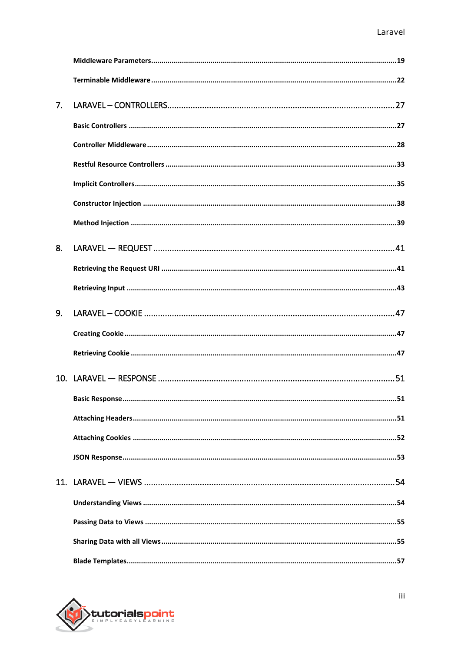| 7. |  |
|----|--|
|    |  |
|    |  |
|    |  |
|    |  |
|    |  |
|    |  |
| 8. |  |
|    |  |
|    |  |
| 9. |  |
|    |  |
|    |  |
|    |  |
|    |  |
|    |  |
|    |  |
|    |  |
|    |  |
|    |  |
|    |  |
|    |  |
|    |  |

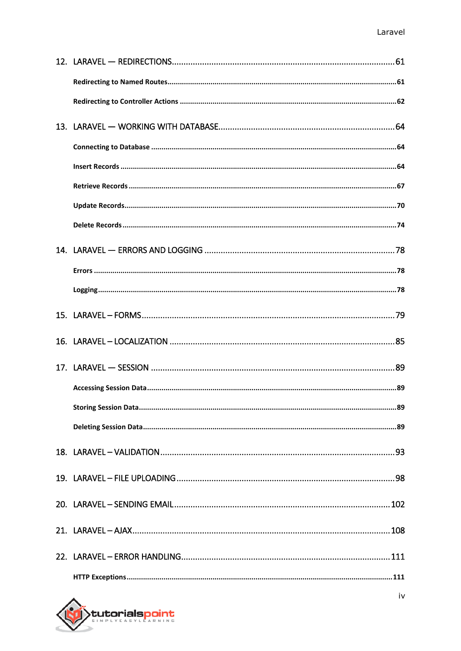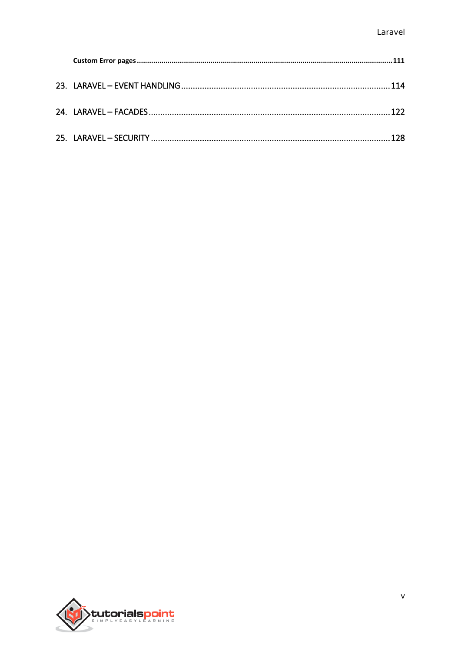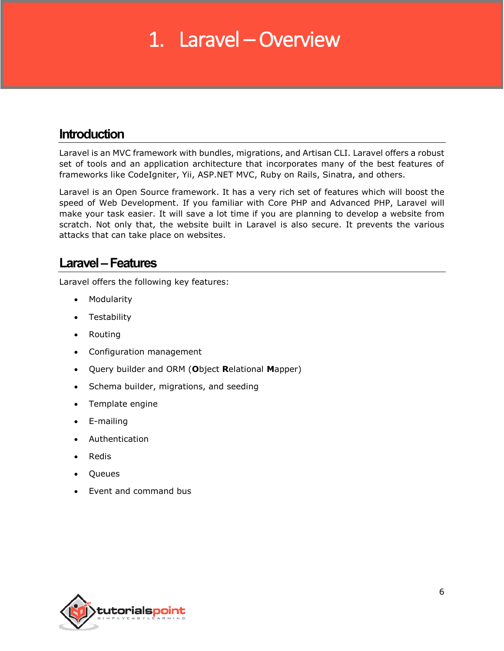## 1. Laravel – Overview

## **Introduction**

Laravel is an MVC framework with bundles, migrations, and Artisan CLI. Laravel offers a robust set of tools and an application architecture that incorporates many of the best features of frameworks like CodeIgniter, Yii, ASP.NET MVC, Ruby on Rails, Sinatra, and others.

Laravel is an Open Source framework. It has a very rich set of features which will boost the speed of Web Development. If you familiar with Core PHP and Advanced PHP, Laravel will make your task easier. It will save a lot time if you are planning to develop a website from scratch. Not only that, the website built in Laravel is also secure. It prevents the various attacks that can take place on websites.

### **Laravel–Features**

Laravel offers the following key features:

- Modularity
- Testability
- Routing
- Configuration management
- Query builder and ORM (**O**bject **R**elational **M**apper)
- Schema builder, migrations, and seeding
- Template engine
- E-mailing
- Authentication
- Redis
- Queues
- Event and command bus

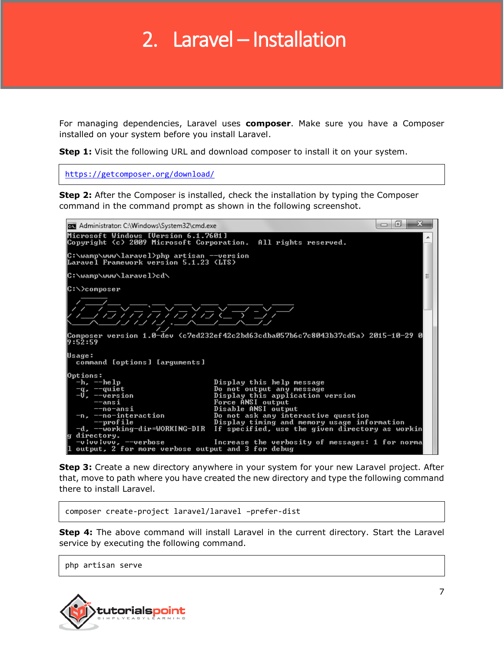## 2. Laravel – Installation

For managing dependencies, Laravel uses **composer**. Make sure you have a Composer installed on your system before you install Laravel.

**Step 1:** Visit the following URL and download composer to install it on your system.

<https://getcomposer.org/download/>

**Step 2:** After the Composer is installed, check the installation by typing the Composer command in the command prompt as shown in the following screenshot.

| Administrator: C:\Windows\System32\cmd.exe                                                                                                                                                                                                            |                                                                                                                                                                                                                                                                                                                                                        | 23<br>向<br>▭ |  |  |  |
|-------------------------------------------------------------------------------------------------------------------------------------------------------------------------------------------------------------------------------------------------------|--------------------------------------------------------------------------------------------------------------------------------------------------------------------------------------------------------------------------------------------------------------------------------------------------------------------------------------------------------|--------------|--|--|--|
| Microsoft Windows [Version 6.1.7601]<br>Copyright (c) 2009 Microsoft Corporation. All rights reserved.                                                                                                                                                |                                                                                                                                                                                                                                                                                                                                                        |              |  |  |  |
| C:\wamp\www\laravel>php artisan --version<br>Laravel Framework version 5.1.23 (LTS)                                                                                                                                                                   |                                                                                                                                                                                                                                                                                                                                                        |              |  |  |  |
| C:\wamp\www\laravel>cd\                                                                                                                                                                                                                               |                                                                                                                                                                                                                                                                                                                                                        |              |  |  |  |
| C:\>composer                                                                                                                                                                                                                                          |                                                                                                                                                                                                                                                                                                                                                        |              |  |  |  |
| (反应)对应,包含文字                                                                                                                                                                                                                                           |                                                                                                                                                                                                                                                                                                                                                        |              |  |  |  |
| Composer version 1.0—dev (c7ed232ef42c2bd63cdba057b6c7c8043b37cd5a) 2015—10—29 0<br>19:52:59                                                                                                                                                          |                                                                                                                                                                                                                                                                                                                                                        |              |  |  |  |
| Usage:<br>command [options] [arguments]                                                                                                                                                                                                               |                                                                                                                                                                                                                                                                                                                                                        |              |  |  |  |
| Options:<br>$-h.$ $-\text{he}$ $1\text{p}$<br>-q, --quiet<br>-V, --version<br>$-$ ansi<br>--no-ansi<br>−n, -−no-interaction<br>$-$ profile<br>-d, --working-dir=WORKING-DIR<br>g directory.<br>$ 1$ output, 2 for more verbose output and 3 for debug | Display this help message<br>Do not output any message<br>Display this application version<br>Force ANSI output<br>Disable ANSI output<br>Do not ask any interactive question<br>Display timing and memory usage information<br>If specified, use the given directory as workin<br>-vivulvvu, --verbose Morease the verbosity of messages: 1 for norma |              |  |  |  |

**Step 3:** Create a new directory anywhere in your system for your new Laravel project. After that, move to path where you have created the new directory and type the following command there to install Laravel.

composer create-project laravel/laravel –prefer-dist

**Step 4:** The above command will install Laravel in the current directory. Start the Laravel service by executing the following command.

php artisan serve

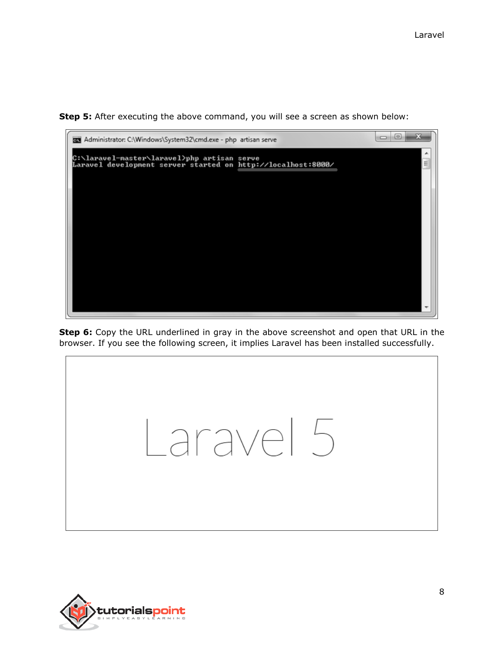**Step 5:** After executing the above command, you will see a screen as shown below:



**Step 6:** Copy the URL underlined in gray in the above screenshot and open that URL in the browser. If you see the following screen, it implies Laravel has been installed successfully.



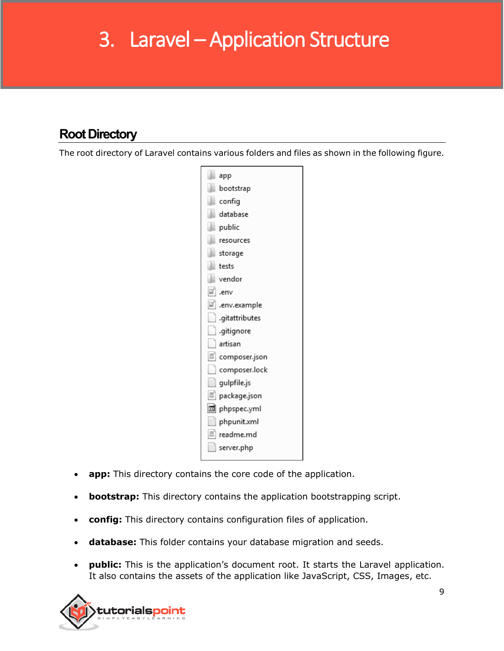# 3. Laravel – Application Structure

## **Root Directory**

The root directory of Laravel contains various folders and files as shown in the following figure.



- **app:** This directory contains the core code of the application.
- **bootstrap:** This directory contains the application bootstrapping script.
- **config:** This directory contains configuration files of application.
- **database:** This folder contains your database migration and seeds.
- **public:** This is the application's document root. It starts the Laravel application. It also contains the assets of the application like JavaScript, CSS, Images, etc.

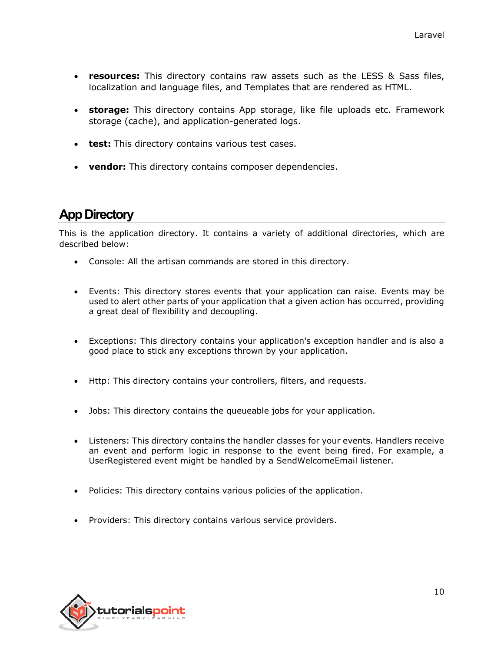- **resources:** This directory contains raw assets such as the LESS & Sass files, localization and language files, and Templates that are rendered as HTML.
- **storage:** This directory contains App storage, like file uploads etc. Framework storage (cache), and application-generated logs.
- **test:** This directory contains various test cases.
- **vendor:** This directory contains composer dependencies.

## **App Directory**

This is the application directory. It contains a variety of additional directories, which are described below:

- Console: All the artisan commands are stored in this directory.
- Events: This directory stores events that your application can raise. Events may be used to alert other parts of your application that a given action has occurred, providing a great deal of flexibility and decoupling.
- Exceptions: This directory contains your application's exception handler and is also a good place to stick any exceptions thrown by your application.
- Http: This directory contains your controllers, filters, and requests.
- Jobs: This directory contains the queueable jobs for your application.
- Listeners: This directory contains the handler classes for your events. Handlers receive an event and perform logic in response to the event being fired. For example, a UserRegistered event might be handled by a SendWelcomeEmail listener.
- Policies: This directory contains various policies of the application.
- Providers: This directory contains various service providers.

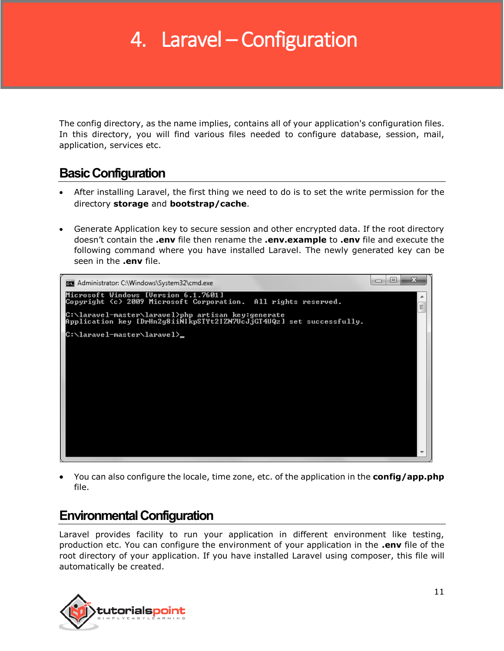# 4. Laravel – Configuration

The config directory, as the name implies, contains all of your application's configuration files. In this directory, you will find various files needed to configure database, session, mail, application, services etc.

## **Basic Configuration**

- After installing Laravel, the first thing we need to do is to set the write permission for the directory **storage** and **bootstrap/cache**.
- Generate Application key to secure session and other encrypted data. If the root directory doesn't contain the **.env** file then rename the **.env.example** to **.env** file and execute the following command where you have installed Laravel. The newly generated key can be seen in the **.env** file.



 You can also configure the locale, time zone, etc. of the application in the **config/app.php** file.

## **Environmental Configuration**

Laravel provides facility to run your application in different environment like testing, production etc. You can configure the environment of your application in the **.env** file of the root directory of your application. If you have installed Laravel using composer, this file will automatically be created.

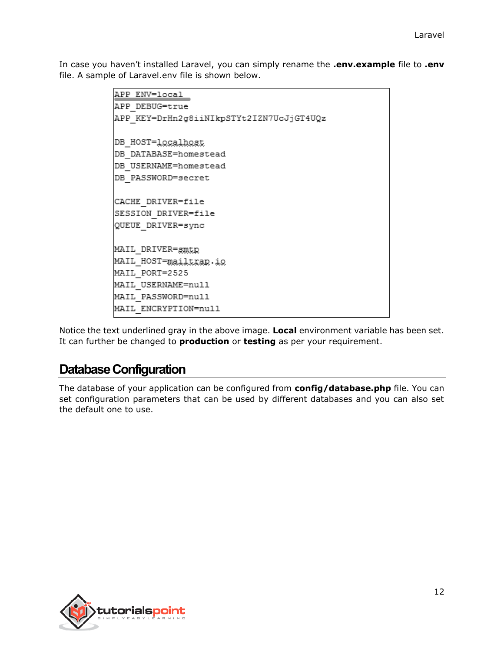In case you haven't installed Laravel, you can simply rename the **.env.example** file to **.env** file. A sample of Laravel.env file is shown below.

```
APP ENV=local
APP DEBUG=true
APP KEY=DrHn2g8iiNIkpSTYt2IZN7UcJjGT4UQz
DB HOST=1ocalhost
DB DATABASE=homestead
DB USERNAME=homestead
DB PASSWORD=secret
CACHE DRIVER=file
SESSION DRIVER=file
QUEUE DRIVER=sync
MAIL DRIVER=smtp
MAIL HOST=mailtrap.io
MAIL PORT=2525
MAIL USERNAME=null
MAIL PASSWORD=null
MAIL ENCRYPTION=null
```
Notice the text underlined gray in the above image. **Local** environment variable has been set. It can further be changed to **production** or **testing** as per your requirement.

## **Database Configuration**

The database of your application can be configured from **config/database.php** file. You can set configuration parameters that can be used by different databases and you can also set the default one to use.

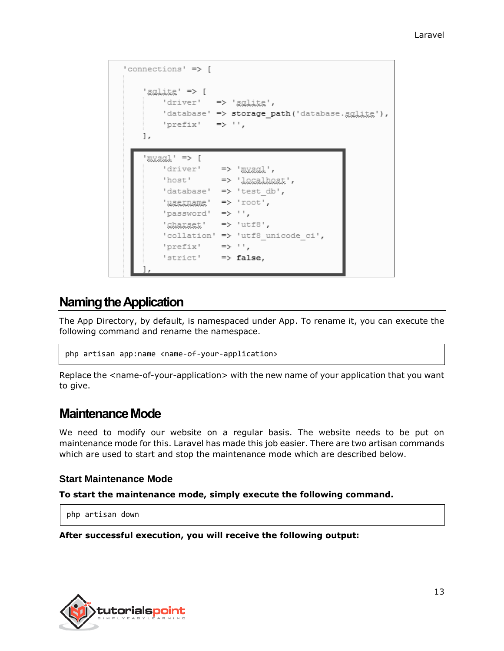```
'connections' => [
    1 < = 'x'driver' => 'gglite',
        'database' => storage path('database.gglite'),
       'prefix' \Rightarrow '',
   ŀ,
    1 <= 'Laxax"
        'driver' => ' \mathbb{R}'host'
                   => 'lecalbest',
        'database' => 'test db',
        'ussinams' => 'root',
        'password' => ',
        'charsat' => 'utf8',
        'collation' => 'utf8 unicode ci',
        'prefix' \Rightarrow '',
        'strict'
                   \Rightarrow false,
```
## **Naming the Application**

The App Directory, by default, is namespaced under App. To rename it, you can execute the following command and rename the namespace.

```
php artisan app:name <name-of-your-application>
```
Replace the <name-of-your-application> with the new name of your application that you want to give.

#### **Maintenance Mode**

We need to modify our website on a regular basis. The website needs to be put on maintenance mode for this. Laravel has made this job easier. There are two artisan commands which are used to start and stop the maintenance mode which are described below.

#### **Start Maintenance Mode**

#### **To start the maintenance mode, simply execute the following command.**

php artisan down

#### **After successful execution, you will receive the following output:**

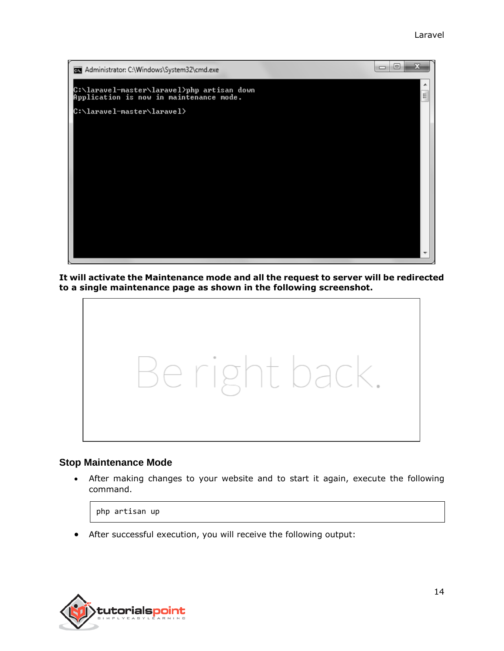

**It will activate the Maintenance mode and all the request to server will be redirected to a single maintenance page as shown in the following screenshot.**



#### **Stop Maintenance Mode**

 After making changes to your website and to start it again, execute the following command.

php artisan up

After successful execution, you will receive the following output:

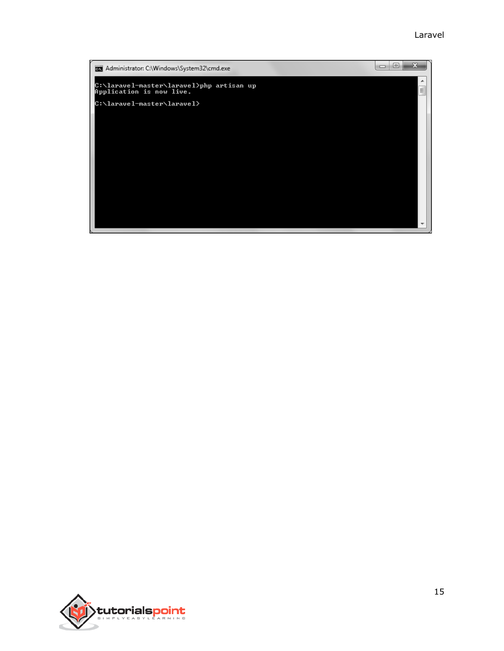#### Laravel



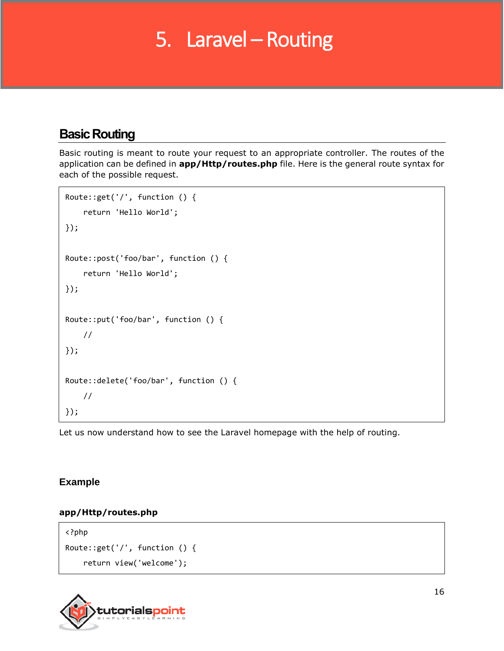## 5. Laravel – Routing

## **Basic Routing**

Basic routing is meant to route your request to an appropriate controller. The routes of the application can be defined in **app/Http/routes.php** file. Here is the general route syntax for each of the possible request.

```
Route::get('/', function () {
     return 'Hello World';
});
Route::post('foo/bar', function () {
     return 'Hello World';
});
Route::put('foo/bar', function () {
     //
});
Route::delete('foo/bar', function () {
     //
});
```
Let us now understand how to see the Laravel homepage with the help of routing.

#### **Example**

#### **app/Http/routes.php**

<?php Route::get('/', function () { return view('welcome');

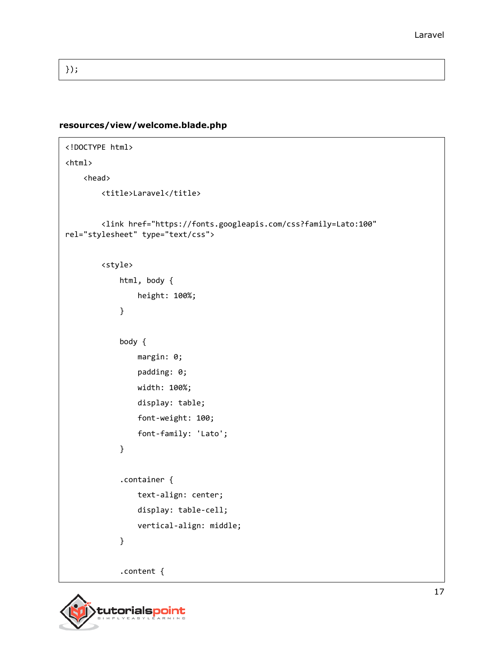});

#### **resources/view/welcome.blade.php**

```
<!DOCTYPE html>
<html>
     <head>
         <title>Laravel</title>
         <link href="https://fonts.googleapis.com/css?family=Lato:100" 
rel="stylesheet" type="text/css">
         <style>
              html, body {
                  height: 100%;
              }
              body {
                  margin: 0;
                  padding: 0;
                  width: 100%;
                  display: table;
                  font-weight: 100;
                  font-family: 'Lato';
              }
              .container {
                  text-align: center;
                  display: table-cell;
                  vertical-align: middle;
              }
              .content {
```
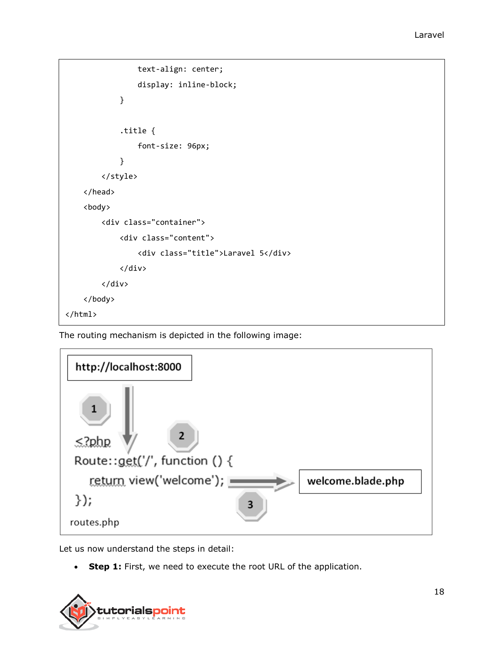```
 text-align: center;
                 display: inline-block;
 }
             .title {
                 font-size: 96px;
             }
         </style>
     </head>
     <body>
         <div class="container">
             <div class="content">
                 <div class="title">Laravel 5</div>
             </div>
         </div>
     </body>
</html>
```
The routing mechanism is depicted in the following image:



Let us now understand the steps in detail:

**Step 1:** First, we need to execute the root URL of the application.

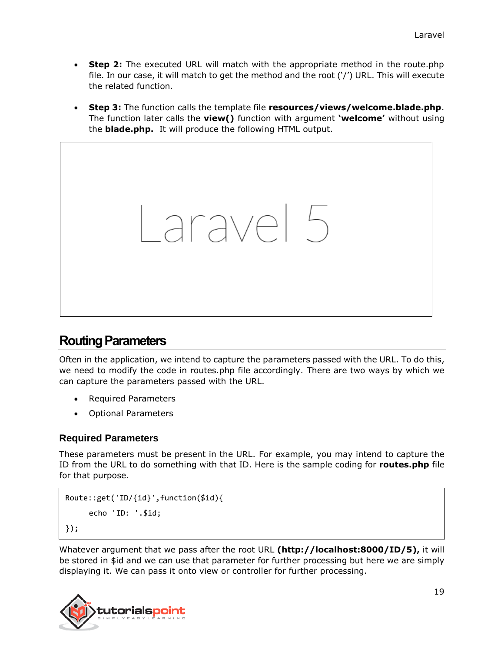- **Step 2:** The executed URL will match with the appropriate method in the route.php file. In our case, it will match to get the method and the root ('/') URL. This will execute the related function.
- **Step 3:** The function calls the template file **resources/views/welcome.blade.php**. The function later calls the **view()** function with argument **'welcome'** without using the **blade.php.** It will produce the following HTML output.



## **Routing Parameters**

Often in the application, we intend to capture the parameters passed with the URL. To do this, we need to modify the code in routes.php file accordingly. There are two ways by which we can capture the parameters passed with the URL.

- Required Parameters
- Optional Parameters

#### **Required Parameters**

These parameters must be present in the URL. For example, you may intend to capture the ID from the URL to do something with that ID. Here is the sample coding for **routes.php** file for that purpose.

```
Route::get('ID/{id}',function($id){
     echo 'ID: '.$id;
});
```
Whatever argument that we pass after the root URL **(http://localhost:8000/ID/5),** it will be stored in \$id and we can use that parameter for further processing but here we are simply displaying it. We can pass it onto view or controller for further processing.

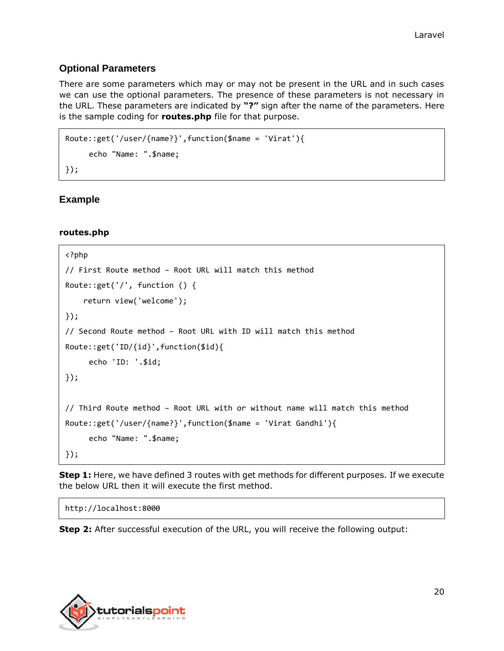#### **Optional Parameters**

There are some parameters which may or may not be present in the URL and in such cases we can use the optional parameters. The presence of these parameters is not necessary in the URL. These parameters are indicated by **"?"** sign after the name of the parameters. Here is the sample coding for **routes.php** file for that purpose.

```
Route::get('/user/{name?}',function($name = 'Virat'){
     echo "Name: ".$name;
});
```
#### **Example**

#### **routes.php**

```
<?php
// First Route method – Root URL will match this method
Route::get('/', function () {
     return view('welcome');
});
// Second Route method – Root URL with ID will match this method
Route::get('ID/{id}',function($id){
     echo 'ID: '.$id;
});
// Third Route method – Root URL with or without name will match this method
Route::get('/user/{name?}',function($name = 'Virat Gandhi'){
     echo "Name: ".$name;
});
```
**Step 1:** Here, we have defined 3 routes with get methods for different purposes. If we execute the below URL then it will execute the first method.

http://localhost:8000

**Step 2:** After successful execution of the URL, you will receive the following output:

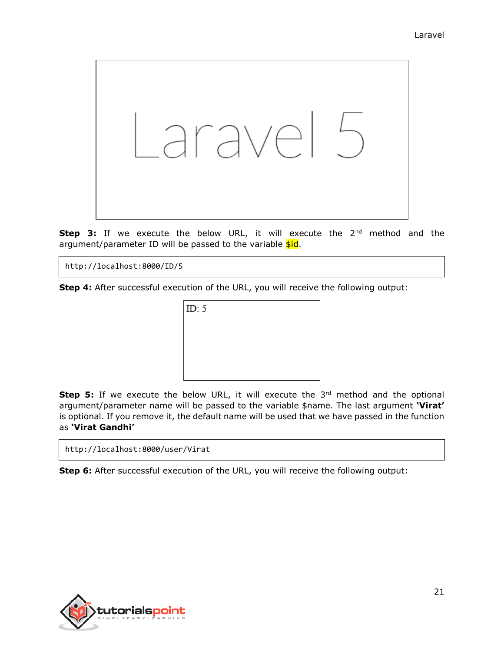

**Step 3:** If we execute the below URL, it will execute the 2<sup>nd</sup> method and the argument/parameter ID will be passed to the variable  $\frac{\sinh(\theta)}{\sinh(\theta)}$ .

http://localhost:8000/ID/5

**Step 4:** After successful execution of the URL, you will receive the following output:



**Step 5:** If we execute the below URL, it will execute the 3<sup>rd</sup> method and the optional argument/parameter name will be passed to the variable \$name. The last argument **'Virat'** is optional. If you remove it, the default name will be used that we have passed in the function as **'Virat Gandhi'**

**Step 6:** After successful execution of the URL, you will receive the following output:

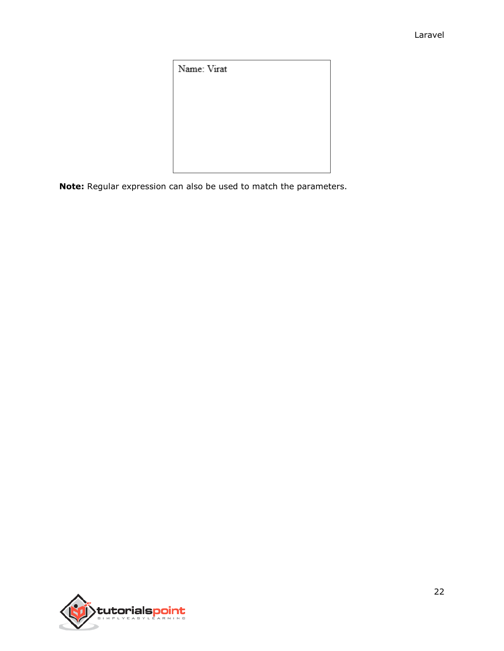Name: Virat

**Note:** Regular expression can also be used to match the parameters.